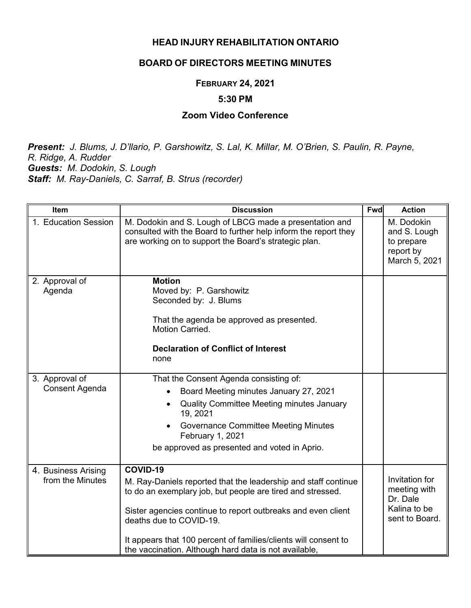### **HEAD INJURY REHABILITATION ONTARIO**

## **BOARD OF DIRECTORS MEETING MINUTES**

### **FEBRUARY 24, 2021**

#### **5:30 PM**

# **Zoom Video Conference**

*Present: J. Blums, J. D'llario, P. Garshowitz, S. Lal, K. Millar, M. O'Brien, S. Paulin, R. Payne, R. Ridge, A. Rudder Guests: M. Dodokin, S. Lough Staff: M. Ray-Daniels, C. Sarraf, B. Strus (recorder)*

| Item                                    | <b>Discussion</b>                                                                                                                                                                                                                                                                                                                                               | Fwd | <b>Action</b>                                                                |
|-----------------------------------------|-----------------------------------------------------------------------------------------------------------------------------------------------------------------------------------------------------------------------------------------------------------------------------------------------------------------------------------------------------------------|-----|------------------------------------------------------------------------------|
| 1. Education Session                    | M. Dodokin and S. Lough of LBCG made a presentation and<br>consulted with the Board to further help inform the report they<br>are working on to support the Board's strategic plan.                                                                                                                                                                             |     | M. Dodokin<br>and S. Lough<br>to prepare<br>report by<br>March 5, 2021       |
| 2. Approval of<br>Agenda                | <b>Motion</b><br>Moved by: P. Garshowitz<br>Seconded by: J. Blums<br>That the agenda be approved as presented.<br>Motion Carried.<br><b>Declaration of Conflict of Interest</b><br>none                                                                                                                                                                         |     |                                                                              |
| 3. Approval of<br><b>Consent Agenda</b> | That the Consent Agenda consisting of:<br>Board Meeting minutes January 27, 2021<br><b>Quality Committee Meeting minutes January</b><br>19, 2021<br><b>Governance Committee Meeting Minutes</b><br>February 1, 2021<br>be approved as presented and voted in Aprio.                                                                                             |     |                                                                              |
| 4. Business Arising<br>from the Minutes | COVID-19<br>M. Ray-Daniels reported that the leadership and staff continue<br>to do an exemplary job, but people are tired and stressed.<br>Sister agencies continue to report outbreaks and even client<br>deaths due to COVID-19.<br>It appears that 100 percent of families/clients will consent to<br>the vaccination. Although hard data is not available, |     | Invitation for<br>meeting with<br>Dr. Dale<br>Kalina to be<br>sent to Board. |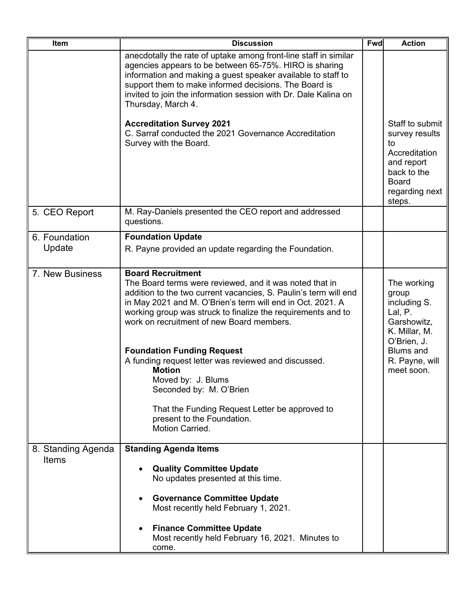| Item                               | <b>Discussion</b>                                                                                                                                                                                                                                                                                                                                                                                                                                                                                                                                                                                    | <b>Fwd</b> | <b>Action</b>                                                                                                                                      |
|------------------------------------|------------------------------------------------------------------------------------------------------------------------------------------------------------------------------------------------------------------------------------------------------------------------------------------------------------------------------------------------------------------------------------------------------------------------------------------------------------------------------------------------------------------------------------------------------------------------------------------------------|------------|----------------------------------------------------------------------------------------------------------------------------------------------------|
|                                    | anecdotally the rate of uptake among front-line staff in similar<br>agencies appears to be between 65-75%. HIRO is sharing<br>information and making a guest speaker available to staff to<br>support them to make informed decisions. The Board is<br>invited to join the information session with Dr. Dale Kalina on<br>Thursday, March 4.<br><b>Accreditation Survey 2021</b><br>C. Sarraf conducted the 2021 Governance Accreditation<br>Survey with the Board.                                                                                                                                  |            | Staff to submit<br>survey results<br>to<br>Accreditation<br>and report<br>back to the<br><b>Board</b><br>regarding next<br>steps.                  |
| 5. CEO Report                      | M. Ray-Daniels presented the CEO report and addressed<br>questions.                                                                                                                                                                                                                                                                                                                                                                                                                                                                                                                                  |            |                                                                                                                                                    |
| 6. Foundation<br>Update            | <b>Foundation Update</b><br>R. Payne provided an update regarding the Foundation.                                                                                                                                                                                                                                                                                                                                                                                                                                                                                                                    |            |                                                                                                                                                    |
| 7. New Business                    | <b>Board Recruitment</b><br>The Board terms were reviewed, and it was noted that in<br>addition to the two current vacancies, S. Paulin's term will end<br>in May 2021 and M. O'Brien's term will end in Oct. 2021. A<br>working group was struck to finalize the requirements and to<br>work on recruitment of new Board members.<br><b>Foundation Funding Request</b><br>A funding request letter was reviewed and discussed.<br><b>Motion</b><br>Moved by: J. Blums<br>Seconded by: M. O'Brien<br>That the Funding Request Letter be approved to<br>present to the Foundation.<br>Motion Carried. |            | The working<br>group<br>including S.<br>Lal, P.<br>Garshowitz,<br>K. Millar, M.<br>O'Brien, J.<br><b>Blums and</b><br>R. Payne, will<br>meet soon. |
| 8. Standing Agenda<br><b>Items</b> | <b>Standing Agenda Items</b><br><b>Quality Committee Update</b><br>No updates presented at this time.                                                                                                                                                                                                                                                                                                                                                                                                                                                                                                |            |                                                                                                                                                    |
|                                    | <b>Governance Committee Update</b><br>Most recently held February 1, 2021.<br><b>Finance Committee Update</b><br>Most recently held February 16, 2021. Minutes to<br>come.                                                                                                                                                                                                                                                                                                                                                                                                                           |            |                                                                                                                                                    |